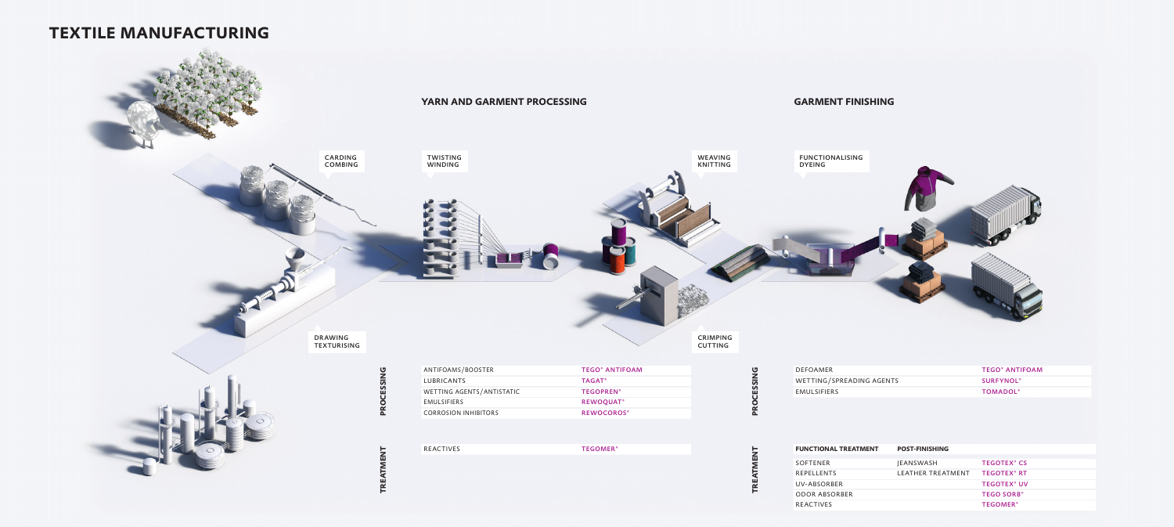

| <b>FUNCTIONAL TREATMENT</b> | <b>POST-FINISHING</b> |                               |
|-----------------------------|-----------------------|-------------------------------|
|                             |                       |                               |
| SOFTENER                    | <b>JEANSWASH</b>      | <b>TEGOTEX<sup>®</sup> CS</b> |
| <b>REPELLENTS</b>           | LEATHER TREATMENT     | <b>TEGOTEX<sup>®</sup> RT</b> |
| UV-ABSORBER                 |                       | <b>TEGOTEX<sup>®</sup> UV</b> |
| <b>ODOR ABSORBER</b>        |                       | <b>TEGO SORB</b> <sup>®</sup> |
| <b>REACTIVES</b>            |                       | <b>TEGOMER<sup>®</sup></b>    |
|                             |                       |                               |

# **TEXTILE MANUFACTURING**